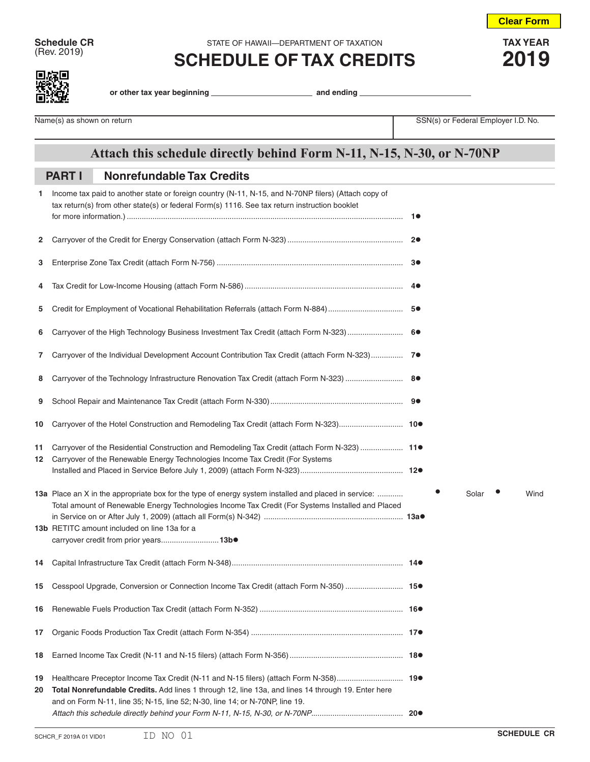**Schedule CR** STATE OF HAWAII—DEPARTMENT OF TAXATION **TAX YEAR**<br>
(Rev. 2019) **COLLEDILLE OF TAY ODEDITO** 

## **E**  $\alpha$  2019) **SCHEDULE OF TAX CREDITS** 2019

**Clear Form**



**or other tax year beginning and ending** 

Name(s) as shown on return **Name(s)** as shown on return SSN(s) or Federal Employer I.D. No.

## **Attach this schedule directly behind Form N-11, N-15, N-30, or N-70NP**

## **Nonrefundable Tax Credits PART I**

| 1        | Income tax paid to another state or foreign country (N-11, N-15, and N-70NP filers) (Attach copy of<br>tax return(s) from other state(s) or federal Form(s) 1116. See tax return instruction booklet                                                                                               |  |       |      |
|----------|----------------------------------------------------------------------------------------------------------------------------------------------------------------------------------------------------------------------------------------------------------------------------------------------------|--|-------|------|
| 2        |                                                                                                                                                                                                                                                                                                    |  |       |      |
| 3        |                                                                                                                                                                                                                                                                                                    |  |       |      |
| 4        |                                                                                                                                                                                                                                                                                                    |  |       |      |
| 5        |                                                                                                                                                                                                                                                                                                    |  |       |      |
| 6        | Carryover of the High Technology Business Investment Tax Credit (attach Form N-323)  6●                                                                                                                                                                                                            |  |       |      |
| 7.       | Carryover of the Individual Development Account Contribution Tax Credit (attach Form N-323) 7                                                                                                                                                                                                      |  |       |      |
| 8        |                                                                                                                                                                                                                                                                                                    |  |       |      |
| 9        |                                                                                                                                                                                                                                                                                                    |  |       |      |
| 10       |                                                                                                                                                                                                                                                                                                    |  |       |      |
| 11<br>12 | Carryover of the Residential Construction and Remodeling Tax Credit (attach Form N-323)  11●<br>Carryover of the Renewable Energy Technologies Income Tax Credit (For Systems                                                                                                                      |  |       |      |
|          | 13a Place an X in the appropriate box for the type of energy system installed and placed in service:<br>Total amount of Renewable Energy Technologies Income Tax Credit (For Systems Installed and Placed<br>13b RETITC amount included on line 13a for a<br>carryover credit from prior years13b. |  | Solar | Wind |
| 14       |                                                                                                                                                                                                                                                                                                    |  |       |      |
| 15       | Cesspool Upgrade, Conversion or Connection Income Tax Credit (attach Form N-350)  15.                                                                                                                                                                                                              |  |       |      |
|          |                                                                                                                                                                                                                                                                                                    |  |       |      |
| 17       |                                                                                                                                                                                                                                                                                                    |  |       |      |
| 18       |                                                                                                                                                                                                                                                                                                    |  |       |      |
| 19<br>20 | Total Nonrefundable Credits. Add lines 1 through 12, line 13a, and lines 14 through 19. Enter here<br>and on Form N-11, line 35; N-15, line 52; N-30, line 14; or N-70NP, line 19.                                                                                                                 |  |       |      |
|          |                                                                                                                                                                                                                                                                                                    |  |       |      |